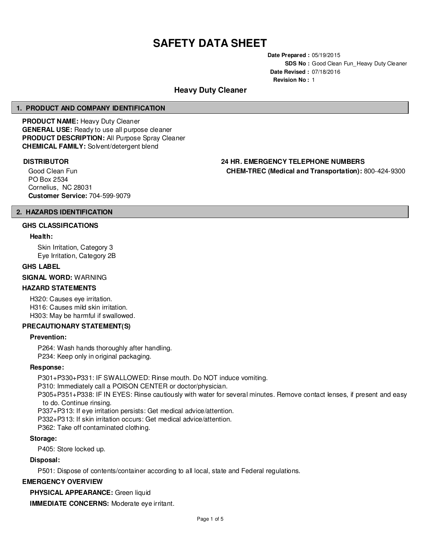# **SAFETY DATA SHEET**

**Date Prepared :** 05/19/2015 **SDS No :** Good Clean Fun Heavy Duty Cleaner **Date Revised :** 07/18/2016 **Revision No :** 1

# **Heavy Duty Cleaner**

#### **1. PRODUCT AND COMPANY IDENTIFICATION**

**PRODUCT NAME:** Heavy Duty Cleaner **GENERAL USE:** Ready to use all purpose cleaner **PRODUCT DESCRIPTION:** All Purpose Spray Cleaner **CHEMICAL FAMILY:** Solvent/detergent blend

Good Clean Fun PO Box 2534 Cornelius, NC 28031 **Customer Service:** 704-599-9079

# **DISTRIBUTOR 24 HR. EMERGENCY TELEPHONE NUMBERS CHEM-TREC (Medical and Transportation):** 800-424-9300

# **2. HAZARDS IDENTIFICATION**

#### **GHS CLASSIFICATIONS**

#### **Health:**

Skin Irritation, Category 3 Eye Irritation, Category 2B

#### **GHS LABEL**

**SIGNAL WORD:** WARNING

### **HAZARD STATEMENTS**

H320: Causes eye irritation. H316: Causes mild skin irritation. H303: May be harmful if swallowed.

#### **PRECAUTIONARY STATEMENT(S)**

#### **Prevention:**

P264: Wash hands thoroughly after handling. P234: Keep only in original packaging.

#### **Response:**

P301+P330+P331: IF SWALLOWED: Rinse mouth. Do NOT induce vomiting.

P310: Immediately call a POISON CENTER or doctor/physician.

P305+P351+P338: IF IN EYES: Rinse cautiously with water for several minutes. Remove contact lenses, if present and easy to do. Continue rinsing.

P337+P313: If eye irritation persists: Get medical advice/attention.

P332+P313: If skin irritation occurs: Get medical advice/attention.

P362: Take off contaminated clothing.

#### **Storage:**

P405: Store locked up.

#### **Disposal:**

P501: Dispose of contents/container according to all local, state and Federal regulations.

#### **EMERGENCY OVERVIEW**

**PHYSICAL APPEARANCE:** Green liquid

**IMMEDIATE CONCERNS:** Moderate eye irritant.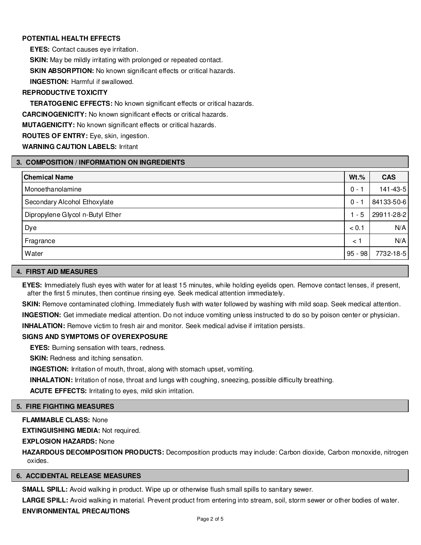# **POTENTIAL HEALTH EFFECTS**

**EYES:** Contact causes eye irritation.

**SKIN:** May be mildly irritating with prolonged or repeated contact.

**SKIN ABSORPTION:** No known significant effects or critical hazards.

**INGESTION:** Harmful if swallowed.

# **REPRODUCTIVE TOXICITY**

**TERATOGENIC EFFECTS:** No known significant effects or critical hazards.

**CARCINOGENICITY:** No known significant effects or critical hazards.

**MUTAGENICITY:** No known significant effects or critical hazards.

**ROUTES OF ENTRY:** Eye, skin, ingestion.

**WARNING CAUTION LABELS:** Irritant

# **3. COMPOSITION / INFORMATION ON INGREDIENTS**

| <b>Chemical Name</b>             | $Wt.\%$   | <b>CAS</b> |
|----------------------------------|-----------|------------|
| Monoethanolamine                 | $0 -$     | 141-43-5   |
| Secondary Alcohol Ethoxylate     | $0 -$     | 84133-50-6 |
| Dipropylene Glycol n-Butyl Ether | $1 - 5$   | 29911-28-2 |
| Dye                              | < 0.1     | N/A        |
| Fragrance                        | $\leq 1$  | N/A        |
| Water                            | $95 - 98$ | 7732-18-5  |

#### **4. FIRST AID MEASURES**

**EYES:** Immediately flush eyes with water for at least 15 minutes, while holding eyelids open. Remove contact lenses, if present, after the first 5 minutes, then continue rinsing eye. Seek medical attention immediately.

**SKIN:** Remove contaminated clothing. Immediately flush with water followed by washing with mild soap. Seek medical attention.

**INGESTION:** Get immediate medical attention. Do not induce vomiting unless instructed to do so by poison center or physician.

**INHALATION:** Remove victim to fresh air and monitor. Seek medical advise if irritation persists.

#### **SIGNS AND SYMPTOMS OF OVEREXPOSURE**

**EYES:** Burning sensation with tears, redness.

**SKIN:** Redness and itching sensation.

**INGESTION:** Irritation of mouth, throat, along with stomach upset, vomiting.

**INHALATION:** Irritation of nose, throat and lungs with coughing, sneezing, possible difficulty breathing.

**ACUTE EFFECTS:** Irritating to eyes, mild skin irritation.

#### **5. FIRE FIGHTING MEASURES**

**FLAMMABLE CLASS:** None

**EXTINGUISHING MEDIA:** Not required.

**EXPLOSION HAZARDS:** None

**HAZARDOUS DECOMPOSITION PRODUCTS:** Decomposition products may include: Carbon dioxide, Carbon monoxide, nitrogen oxides.

#### **6. ACCIDENTAL RELEASE MEASURES**

**SMALL SPILL:** Avoid walking in product. Wipe up or otherwise flush small spills to sanitary sewer.

**LARGE SPILL:** Avoid walking in material. Prevent product from entering into stream, soil, storm sewer or other bodies of water.

## **ENVIRONMENTAL PRECAUTIONS**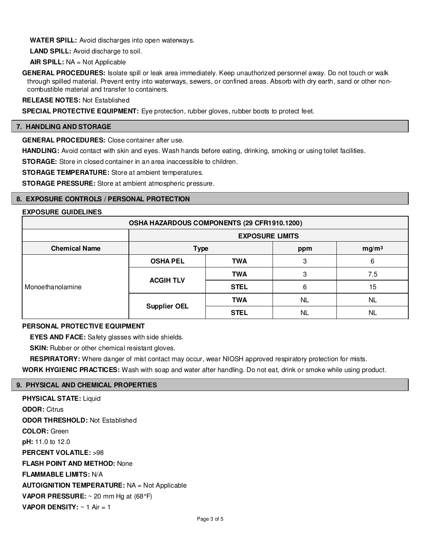**WATER SPILL:** Avoid discharges into open waterways.

**LAND SPILL:** Avoid discharge to soil.

**AIR SPILL:** NA = Not Applicable

**GENERAL PROCEDURES:** Isolate spill or leak area immediately. Keep unauthorized personnel away. Do not touch or walk through spilled material. Prevent entry into waterways, sewers, or confined areas. Absorb with dry earth, sand or other noncombustible material and transfer to containers.

**RELEASE NOTES:** Not Established

**SPECIAL PROTECTIVE EQUIPMENT:** Eye protection, rubber gloves, rubber boots to protect feet.

#### **7. HANDLING AND STORAGE**

**GENERAL PROCEDURES:** Close container after use.

**HANDLING:** Avoid contact with skin and eyes. Wash hands before eating, drinking, smoking or using toilet facilities.

**STORAGE:** Store in closed container in an area inaccessible to children.

**STORAGE TEMPERATURE:** Store at ambient temperatures.

**STORAGE PRESSURE:** Store at ambient atmospheric pressure.

#### **8. EXPOSURE CONTROLS / PERSONAL PROTECTION**

#### **EXPOSURE GUIDELINES**

| OSHA HAZARDOUS COMPONENTS (29 CFR1910.1200) |                        |             |           |                   |
|---------------------------------------------|------------------------|-------------|-----------|-------------------|
|                                             | <b>EXPOSURE LIMITS</b> |             |           |                   |
| <b>Chemical Name</b>                        | <b>Type</b>            |             | ppm       | mg/m <sup>3</sup> |
| Monoethanolamine                            | <b>OSHA PEL</b>        | <b>TWA</b>  | 3         | 6                 |
|                                             | <b>ACGIH TLV</b>       | <b>TWA</b>  | 3         | 7.5               |
|                                             |                        | <b>STEL</b> | 6         | 15                |
|                                             |                        | <b>TWA</b>  | <b>NL</b> | <b>NL</b>         |
|                                             | <b>Supplier OEL</b>    | <b>STEL</b> | <b>NL</b> | <b>NL</b>         |

#### **PERSONAL PROTECTIVE EQUIPMENT**

**EYES AND FACE:** Safety glasses with side shields.

**SKIN:** Rubber or other chemical resistant gloves.

**RESPIRATORY:** Where danger of mist contact may occur, wear NIOSH approved respiratory protection for mists.

**WORK HYGIENIC PRACTICES:** Wash with soap and water after handling. Do not eat, drink or smoke while using product.

#### **9. PHYSICAL AND CHEMICAL PROPERTIES**

**PHYSICAL STATE:** Liquid **ODOR:** Citrus **ODOR THRESHOLD:** Not Established **COLOR:** Green **pH:** 11.0 to 12.0 **PERCENT VOLATILE:** >98 **FLASH POINT AND METHOD:** None **FLAMMABLE LIMITS:** N/A **AUTOIGNITION TEMPERATURE:** NA = Not Applicable **VAPOR PRESSURE:** ~ 20 mm Hg at (68°F) **VAPOR DENSITY:**  $\sim$  1 Air = 1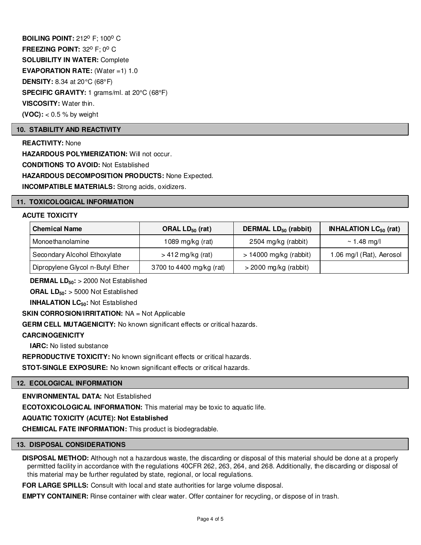**BOILING POINT: 212º F; 100° C FREEZING POINT: 32° F; 0° C SOLUBILITY IN WATER:** Complete **EVAPORATION RATE:** (Water =1) 1.0 **DENSITY:** 8.34 at 20°C (68°F) **SPECIFIC GRAVITY:** 1 grams/ml. at 20°C (68°F) **VISCOSITY:** Water thin. **(VOC):** < 0.5 % by weight

# **10. STABILITY AND REACTIVITY**

**REACTIVITY:** None **HAZARDOUS POLYMERIZATION:** Will not occur. **CONDITIONS TO AVOID:** Not Established **HAZARDOUS DECOMPOSITION PRODUCTS:** None Expected. **INCOMPATIBLE MATERIALS:** Strong acids, oxidizers.

#### **11. TOXICOLOGICAL INFORMATION**

### **ACUTE TOXICITY**

| <b>Chemical Name</b>             | ORAL $LD_{50}$ (rat)     | DERMAL LD <sub>50</sub> (rabbit) | <b>INHALATION LC<math>_{50}</math> (rat)</b> |
|----------------------------------|--------------------------|----------------------------------|----------------------------------------------|
| Monoethanolamine                 | 1089 mg/kg (rat)         | 2504 mg/kg (rabbit)              | $\sim$ 1.48 mg/l                             |
| Secondary Alcohol Ethoxylate     | $> 412$ mg/kg (rat)      | $> 14000$ mg/kg (rabbit)         | 1.06 mg/l (Rat), Aerosol                     |
| Dipropylene Glycol n-Butyl Ether | 3700 to 4400 mg/kg (rat) | $>$ 2000 mg/kg (rabbit)          |                                              |

**DERMAL LD50:** > 2000 Not Established

**ORAL LD50:** > 5000 Not Established

**INHALATION LC<sub>50</sub>: Not Established** 

**SKIN CORROSION/IRRITATION:** NA = Not Applicable

**GERM CELL MUTAGENICITY:** No known significant effects or critical hazards.

#### **CARCINOGENICITY**

**IARC:** No listed substance

**REPRODUCTIVE TOXICITY:** No known significant effects or critical hazards.

**STOT-SINGLE EXPOSURE:** No known significant effects or critical hazards.

## **12. ECOLOGICAL INFORMATION**

**ENVIRONMENTAL DATA:** Not Established

**ECOTOXICOLOGICAL INFORMATION:** This material may be toxic to aquatic life.

# **AQUATIC TOXICITY (ACUTE): Not Established**

**CHEMICAL FATE INFORMATION:** This product is biodegradable.

#### **13. DISPOSAL CONSIDERATIONS**

**DISPOSAL METHOD:** Although not a hazardous waste, the discarding or disposal of this material should be done at a properly permitted facility in accordance with the regulations 40CFR 262, 263, 264, and 268. Additionally, the discarding or disposal of this material may be further regulated by state, regional, or local regulations.

**FOR LARGE SPILLS:** Consult with local and state authorities for large volume disposal.

**EMPTY CONTAINER:** Rinse container with clear water. Offer container for recycling, or dispose of in trash.